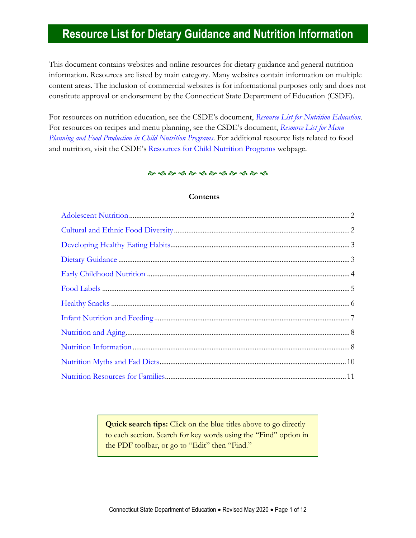This document contains websites and online resources for dietary guidance and general nutrition information. Resources are listed by main category. Many websites contain information on multiple content areas. The inclusion of commercial websites is for informational purposes only and does not constitute approval or endorsement by the Connecticut State Department of Education (CSDE).

For resources on nutrition education, see the CSDE's document, *[Resource List for Nutrition Education](https://portal.ct.gov/-/media/SDE/Nutrition/Resources/ResourcesNutritionEducation.pdf)*. For resources on recipes and menu planning, see the CSDE's document, *[Resource List for Menu](https://portal.ct.gov/-/media/SDE/Nutrition/Resources/ResourcesMenuPlanning.pdf)  [Planning and Food Production in Child Nutrition Programs](https://portal.ct.gov/-/media/SDE/Nutrition/Resources/ResourcesMenuPlanning.pdf)*. For additional resource lists related to food and nutrition, visit the CSDE's [Resources for Child Nutrition Programs](https://portal.ct.gov/SDE/Nutrition/Resources-for-Child-Nutrition-Programs) webpage.

#### 

#### **Contents**

<span id="page-0-0"></span>**Quick search tips:** Click on the blue titles above to go directly to each section. Search for key words using the "Find" option in the PDF toolbar, or go to "Edit" then "Find."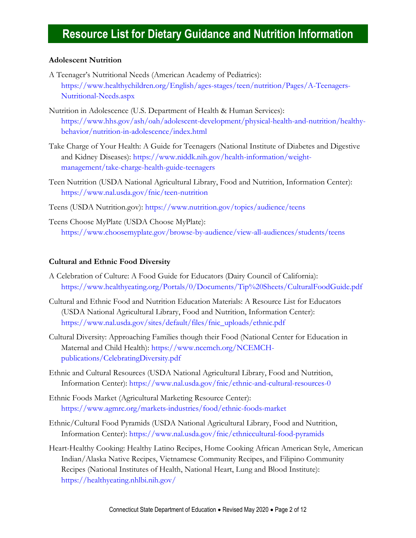### <span id="page-1-0"></span>**Adolescent Nutrition**

- A Teenager's Nutritional Needs (American Academy of Pediatrics): [https://www.healthychildren.org/English/ages-stages/teen/nutrition/Pages/A-Teenagers-](https://www.healthychildren.org/English/ages-stages/teen/nutrition/Pages/A-Teenagers-Nutritional-Needs.aspx)[Nutritional-Needs.aspx](https://www.healthychildren.org/English/ages-stages/teen/nutrition/Pages/A-Teenagers-Nutritional-Needs.aspx)
- Nutrition in Adolescence (U.S. Department of Health & Human Services): [https://www.hhs.gov/ash/oah/adolescent-development/physical-health-and-nutrition/healthy](https://www.hhs.gov/ash/oah/adolescent-development/physical-health-and-nutrition/healthy-behavior/nutrition-in-adolescence/index.html)[behavior/nutrition-in-adolescence/index.html](https://www.hhs.gov/ash/oah/adolescent-development/physical-health-and-nutrition/healthy-behavior/nutrition-in-adolescence/index.html)
- Take Charge of Your Health: A Guide for Teenagers (National Institute of Diabetes and Digestive and Kidney Diseases): [https://www.niddk.nih.gov/health-information/weight](https://www.niddk.nih.gov/health-information/weight-management/take-charge-health-guide-teenagers)[management/take-charge-health-guide-teenagers](https://www.niddk.nih.gov/health-information/weight-management/take-charge-health-guide-teenagers)
- Teen Nutrition (USDA National Agricultural Library, Food and Nutrition, Information Center): <https://www.nal.usda.gov/fnic/teen-nutrition>
- Teens (USDA Nutrition.gov):<https://www.nutrition.gov/topics/audience/teens>
- Teens Choose MyPlate (USDA Choose MyPlate): <https://www.choosemyplate.gov/browse-by-audience/view-all-audiences/students/teens>

### **Cultural and Ethnic Food Diversity**

- A Celebration of Culture: A Food Guide for Educators (Dairy Council of California): <https://www.healthyeating.org/Portals/0/Documents/Tip%20Sheets/CulturalFoodGuide.pdf>
- Cultural and Ethnic Food and Nutrition Education Materials: A Resource List for Educators (USDA National Agricultural Library, Food and Nutrition, Information Center): [https://www.nal.usda.gov/sites/default/files/fnic\\_uploads/ethnic.pdf](https://www.nal.usda.gov/sites/default/files/fnic_uploads/ethnic.pdf)
- Cultural Diversity: Approaching Families though their Food (National Center for Education in Maternal and Child Health): [https://www.ncemch.org/NCEMCH](https://www.ncemch.org/NCEMCH-publications/CelebratingDiversity.pdf)[publications/CelebratingDiversity.pdf](https://www.ncemch.org/NCEMCH-publications/CelebratingDiversity.pdf)
- Ethnic and Cultural Resources (USDA National Agricultural Library, Food and Nutrition, Information Center):<https://www.nal.usda.gov/fnic/ethnic-and-cultural-resources-0>
- Ethnic Foods Market (Agricultural Marketing Resource Center): <https://www.agmrc.org/markets-industries/food/ethnic-foods-market>
- Ethnic/Cultural Food Pyramids (USDA National Agricultural Library, Food and Nutrition, Information Center):<https://www.nal.usda.gov/fnic/ethniccultural-food-pyramids>
- Heart-Healthy Cooking: Healthy Latino Recipes, Home Cooking African American Style, American Indian/Alaska Native Recipes, Vietnamese Community Recipes, and Filipino Community Recipes (National Institutes of Health, National Heart, Lung and Blood Institute): <https://healthyeating.nhlbi.nih.gov/>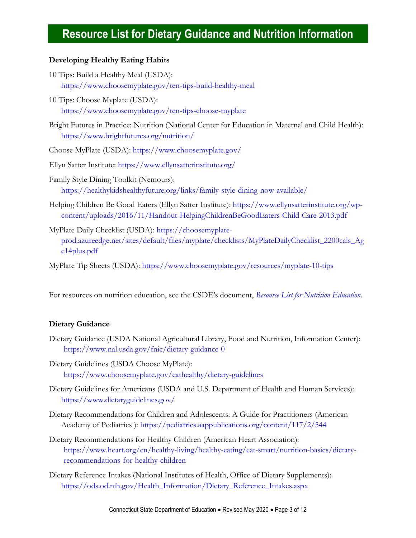### <span id="page-2-0"></span>**Developing Healthy Eating Habits**

- 10 Tips: Build a Healthy Meal (USDA): <https://www.choosemyplate.gov/ten-tips-build-healthy-meal>
- 10 Tips: Choose Myplate (USDA): <https://www.choosemyplate.gov/ten-tips-choose-myplate>
- Bright Futures in Practice: Nutrition (National Center for Education in Maternal and Child Health): <https://www.brightfutures.org/nutrition/>
- Choose MyPlate (USDA):<https://www.choosemyplate.gov/>
- Ellyn Satter Institute:<https://www.ellynsatterinstitute.org/>
- Family Style Dining Toolkit (Nemours): <https://healthykidshealthyfuture.org/links/family-style-dining-now-available/>
- Helping Children Be Good Eaters (Ellyn Satter Institute): [https://www.ellynsatterinstitute.org/wp](https://www.ellynsatterinstitute.org/wp-content/uploads/2016/11/Handout-HelpingChildrenBeGoodEaters-Child-Care-2013.pdf)[content/uploads/2016/11/Handout-HelpingChildrenBeGoodEaters-Child-Care-2013.pdf](https://www.ellynsatterinstitute.org/wp-content/uploads/2016/11/Handout-HelpingChildrenBeGoodEaters-Child-Care-2013.pdf)
- MyPlate Daily Checklist (USDA): [https://choosemyplate](https://choosemyplate-prod.azureedge.net/sites/default/files/myplate/checklists/MyPlateDailyChecklist_2200cals_Age14plus.pdf)[prod.azureedge.net/sites/default/files/myplate/checklists/MyPlateDailyChecklist\\_2200cals\\_Ag](https://choosemyplate-prod.azureedge.net/sites/default/files/myplate/checklists/MyPlateDailyChecklist_2200cals_Age14plus.pdf) [e14plus.pdf](https://choosemyplate-prod.azureedge.net/sites/default/files/myplate/checklists/MyPlateDailyChecklist_2200cals_Age14plus.pdf)
- MyPlate Tip Sheets (USDA):<https://www.choosemyplate.gov/resources/myplate-10-tips>

For resources on nutrition education, see the CSDE's document, *[Resource List for Nutrition Education](https://portal.ct.gov/-/media/SDE/Nutrition/Resources/ResourcesNutritionEducation.pdf)*.

#### **Dietary Guidance**

- Dietary Guidance (USDA National Agricultural Library, Food and Nutrition, Information Center): <https://www.nal.usda.gov/fnic/dietary-guidance-0>
- Dietary Guidelines (USDA Choose MyPlate): <https://www.choosemyplate.gov/eathealthy/dietary-guidelines>
- Dietary Guidelines for Americans (USDA and U.S. Department of Health and Human Services): <https://www.dietaryguidelines.gov/>
- Dietary Recommendations for Children and Adolescents: A Guide for Practitioners (American Academy of Pediatrics ): <https://pediatrics.aappublications.org/content/117/2/544>
- Dietary Recommendations for Healthy Children (American Heart Association): [https://www.heart.org/en/healthy-living/healthy-eating/eat-smart/nutrition-basics/dietary](https://www.heart.org/en/healthy-living/healthy-eating/eat-smart/nutrition-basics/dietary-recommendations-for-healthy-children)[recommendations-for-healthy-children](https://www.heart.org/en/healthy-living/healthy-eating/eat-smart/nutrition-basics/dietary-recommendations-for-healthy-children)
- Dietary Reference Intakes (National Institutes of Health, Office of Dietary Supplements): [https://ods.od.nih.gov/Health\\_Information/Dietary\\_Reference\\_Intakes.aspx](https://ods.od.nih.gov/Health_Information/Dietary_Reference_Intakes.aspx)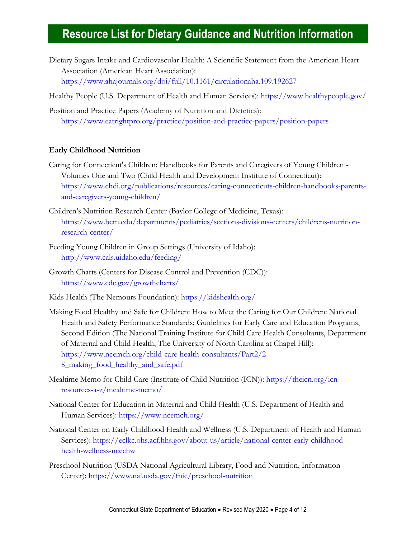- Dietary Sugars Intake and Cardiovascular Health: A Scientific Statement from the American Heart Association (American Heart Association): <https://www.ahajournals.org/doi/full/10.1161/circulationaha.109.192627>
- Healthy People (U.S. Department of Health and Human Services):<https://www.healthypeople.gov/>
- Position and Practice Papers (Academy of Nutrition and Dietetics): <https://www.eatrightpro.org/practice/position-and-practice-papers/position-papers>

#### <span id="page-3-0"></span>**Early Childhood Nutrition**

- Caring for Connecticut's Children: Handbooks for Parents and Caregivers of Young Children Volumes One and Two (Child Health and Development Institute of Connecticut): [https://www.chdi.org/publications/resources/caring-connecticuts-children-handbooks-parents](https://www.chdi.org/publications/resources/caring-connecticuts-children-handbooks-parents-and-caregivers-young-children/)[and-caregivers-young-children/](https://www.chdi.org/publications/resources/caring-connecticuts-children-handbooks-parents-and-caregivers-young-children/)
- Children's Nutrition Research Center (Baylor College of Medicine, Texas): [https://www.bcm.edu/departments/pediatrics/sections-divisions-centers/childrens-nutrition](https://www.bcm.edu/departments/pediatrics/sections-divisions-centers/childrens-nutrition-research-center/)[research-center/](https://www.bcm.edu/departments/pediatrics/sections-divisions-centers/childrens-nutrition-research-center/)
- Feeding Young Children in Group Settings (University of Idaho): <http://www.cals.uidaho.edu/feeding/>
- Growth Charts (Centers for Disease Control and Prevention (CDC)): <https://www.cdc.gov/growthcharts/>
- Kids Health (The Nemours Foundation):<https://kidshealth.org/>
- Making Food Healthy and Safe for Children: How to Meet the Caring for Our Children: National Health and Safety Performance Standards; Guidelines for Early Care and Education Programs, Second Edition (The National Training Institute for Child Care Health Consultants, Department of Maternal and Child Health, The University of North Carolina at Chapel Hill): [https://www.ncemch.org/child-care-health-consultants/Part2/2-](https://www.ncemch.org/child-care-health-consultants/Part2/2-8_making_food_healthy_and_safe.pdf) [8\\_making\\_food\\_healthy\\_and\\_safe.pdf](https://www.ncemch.org/child-care-health-consultants/Part2/2-8_making_food_healthy_and_safe.pdf)
- Mealtime Memo for Child Care (Institute of Child Nutrition (ICN)): [https://theicn.org/icn](https://theicn.org/icn-resources-a-z/mealtime-memo/)[resources-a-z/mealtime-memo/](https://theicn.org/icn-resources-a-z/mealtime-memo/)
- National Center for Education in Maternal and Child Health (U.S. Department of Health and Human Services): <https://www.ncemch.org/>
- National Center on Early Childhood Health and Wellness (U.S. Department of Health and Human Services): [https://eclkc.ohs.acf.hhs.gov/about-us/article/national-center-early-childhood](https://eclkc.ohs.acf.hhs.gov/about-us/article/national-center-early-childhood-health-wellness-ncechw)[health-wellness-ncechw](https://eclkc.ohs.acf.hhs.gov/about-us/article/national-center-early-childhood-health-wellness-ncechw)
- Preschool Nutrition (USDA National Agricultural Library, Food and Nutrition, Information Center):<https://www.nal.usda.gov/fnic/preschool-nutrition>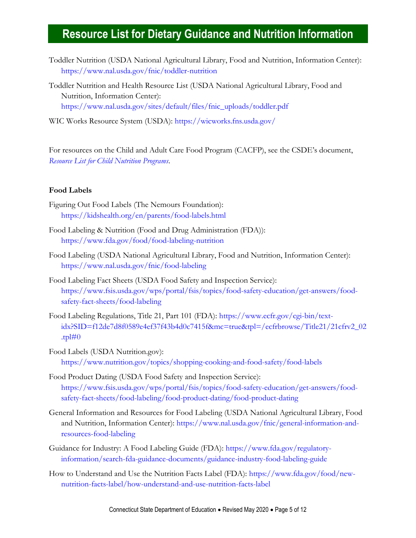- Toddler Nutrition (USDA National Agricultural Library, Food and Nutrition, Information Center): <https://www.nal.usda.gov/fnic/toddler-nutrition>
- Toddler Nutrition and Health Resource List (USDA National Agricultural Library, Food and Nutrition, Information Center): [https://www.nal.usda.gov/sites/default/files/fnic\\_uploads/toddler.pdf](https://www.nal.usda.gov/sites/default/files/fnic_uploads/toddler.pdf)
- WIC Works Resource System (USDA):<https://wicworks.fns.usda.gov/>

For resources on the Child and Adult Care Food Program (CACFP), see the CSDE's document, *[Resource List for Child Nutrition Programs](https://portal.ct.gov/-/media/SDE/Nutrition/Resources/ResourcesChildNutritionPrograms.pdf)*.

### <span id="page-4-0"></span>**Food Labels**

- Figuring Out Food Labels (The Nemours Foundation): <https://kidshealth.org/en/parents/food-labels.html>
- Food Labeling & Nutrition (Food and Drug Administration (FDA)): <https://www.fda.gov/food/food-labeling-nutrition>
- Food Labeling (USDA National Agricultural Library, Food and Nutrition, Information Center): <https://www.nal.usda.gov/fnic/food-labeling>
- Food Labeling Fact Sheets (USDA Food Safety and Inspection Service): [https://www.fsis.usda.gov/wps/portal/fsis/topics/food-safety-education/get-answers/food](https://www.fsis.usda.gov/wps/portal/fsis/topics/food-safety-education/get-answers/food-safety-fact-sheets/food-labeling)[safety-fact-sheets/food-labeling](https://www.fsis.usda.gov/wps/portal/fsis/topics/food-safety-education/get-answers/food-safety-fact-sheets/food-labeling)
- Food Labeling Regulations, Title 21, Part 101 (FDA): [https://www.ecfr.gov/cgi-bin/text](https://www.ecfr.gov/cgi-bin/text-idx?SID=f12de7d8f0589e4ef37f43b4d0c7415f&mc=true&tpl=/ecfrbrowse/Title21/21cfrv2_02.tpl#0)[idx?SID=f12de7d8f0589e4ef37f43b4d0c7415f&mc=true&tpl=/ecfrbrowse/Title21/21cfrv2\\_02](https://www.ecfr.gov/cgi-bin/text-idx?SID=f12de7d8f0589e4ef37f43b4d0c7415f&mc=true&tpl=/ecfrbrowse/Title21/21cfrv2_02.tpl#0) .tpl $\#0$
- Food Labels (USDA Nutrition.gov): <https://www.nutrition.gov/topics/shopping-cooking-and-food-safety/food-labels>
- Food Product Dating (USDA Food Safety and Inspection Service): [https://www.fsis.usda.gov/wps/portal/fsis/topics/food-safety-education/get-answers/food](https://www.fsis.usda.gov/wps/portal/fsis/topics/food-safety-education/get-answers/food-safety-fact-sheets/food-labeling/food-product-dating/food-product-dating)[safety-fact-sheets/food-labeling/food-product-dating/food-product-dating](https://www.fsis.usda.gov/wps/portal/fsis/topics/food-safety-education/get-answers/food-safety-fact-sheets/food-labeling/food-product-dating/food-product-dating)
- General Information and Resources for Food Labeling (USDA National Agricultural Library, Food and Nutrition, Information Center): [https://www.nal.usda.gov/fnic/general-information-and](https://www.nal.usda.gov/fnic/general-information-and-resources-food-labeling)[resources-food-labeling](https://www.nal.usda.gov/fnic/general-information-and-resources-food-labeling)
- Guidance for Industry: A Food Labeling Guide (FDA): [https://www.fda.gov/regulatory](https://www.fda.gov/regulatory-information/search-fda-guidance-documents/guidance-industry-food-labeling-guide)[information/search-fda-guidance-documents/guidance-industry-food-labeling-guide](https://www.fda.gov/regulatory-information/search-fda-guidance-documents/guidance-industry-food-labeling-guide)
- How to Understand and Use the Nutrition Facts Label (FDA): [https://www.fda.gov/food/new](https://www.fda.gov/food/new-nutrition-facts-label/how-understand-and-use-nutrition-facts-label)[nutrition-facts-label/how-understand-and-use-nutrition-facts-label](https://www.fda.gov/food/new-nutrition-facts-label/how-understand-and-use-nutrition-facts-label)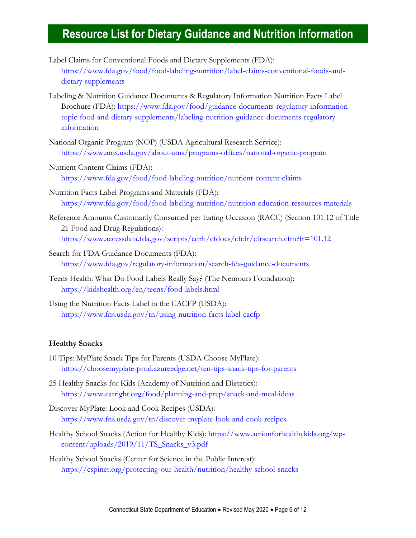- Label Claims for Conventional Foods and Dietary Supplements (FDA): [https://www.fda.gov/food/food-labeling-nutrition/label-claims-conventional-foods-and](https://www.fda.gov/food/food-labeling-nutrition/label-claims-conventional-foods-and-dietary-supplements)[dietary-supplements](https://www.fda.gov/food/food-labeling-nutrition/label-claims-conventional-foods-and-dietary-supplements)
- Labeling & Nutrition Guidance Documents & Regulatory Information Nutrition Facts Label Brochure (FDA): [https://www.fda.gov/food/guidance-documents-regulatory-information](https://www.fda.gov/food/guidance-documents-regulatory-information-topic-food-and-dietary-supplements/labeling-nutrition-guidance-documents-regulatory-information)[topic-food-and-dietary-supplements/labeling-nutrition-guidance-documents-regulatory](https://www.fda.gov/food/guidance-documents-regulatory-information-topic-food-and-dietary-supplements/labeling-nutrition-guidance-documents-regulatory-information)[information](https://www.fda.gov/food/guidance-documents-regulatory-information-topic-food-and-dietary-supplements/labeling-nutrition-guidance-documents-regulatory-information)
- National Organic Program (NOP) (USDA Agricultural Research Service): <https://www.ams.usda.gov/about-ams/programs-offices/national-organic-program>
- Nutrient Content Claims (FDA): <https://www.fda.gov/food/food-labeling-nutrition/nutrient-content-claims>
- Nutrition Facts Label Programs and Materials (FDA): <https://www.fda.gov/food/food-labeling-nutrition/nutrition-education-resources-materials>
- Reference Amounts Customarily Consumed per Eating Occasion (RACC) (Section 101.12 of Title 21 Food and Drug Regulations): <https://www.accessdata.fda.gov/scripts/cdrh/cfdocs/cfcfr/cfrsearch.cfm?fr=101.12>
- Search for FDA Guidance Documents (FDA): <https://www.fda.gov/regulatory-information/search-fda-guidance-documents>
- Teens Health: What Do Food Labels Really Say? (The Nemours Foundation): <https://kidshealth.org/en/teens/food-labels.html>
- Using the Nutrition Facts Label in the CACFP (USDA): <https://www.fns.usda.gov/tn/using-nutrition-facts-label-cacfp>

### <span id="page-5-0"></span>**Healthy Snacks**

- 10 Tips: MyPlate Snack Tips for Parents (USDA Choose MyPlate): <https://choosemyplate-prod.azureedge.net/ten-tips-snack-tips-for-parents>
- 25 Healthy Snacks for Kids (Academy of Nutrition and Dietetics): <https://www.eatright.org/food/planning-and-prep/snack-and-meal-ideas>
- Discover MyPlate: Look and Cook Recipes (USDA): <https://www.fns.usda.gov/tn/discover-myplate-look-and-cook-recipes>
- Healthy School Snacks (Action for Healthy Kids): [https://www.actionforhealthykids.org/wp](https://www.actionforhealthykids.org/wp-content/uploads/2019/11/TS_Snacks_v3.pdf)[content/uploads/2019/11/TS\\_Snacks\\_v3.pdf](https://www.actionforhealthykids.org/wp-content/uploads/2019/11/TS_Snacks_v3.pdf)
- Healthy School Snacks (Center for Science in the Public Interest): <https://cspinet.org/protecting-our-health/nutrition/healthy-school-snacks>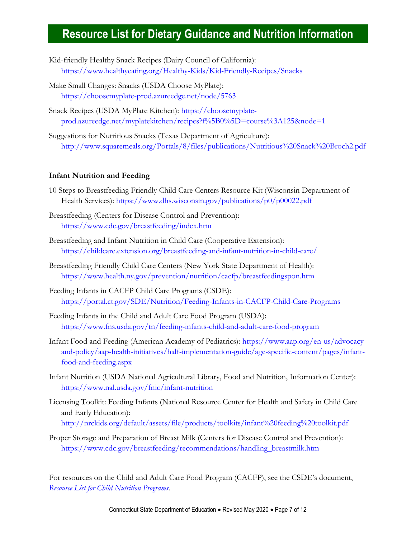- Kid-friendly Healthy Snack Recipes (Dairy Council of California): <https://www.healthyeating.org/Healthy-Kids/Kid-Friendly-Recipes/Snacks>
- Make Small Changes: Snacks (USDA Choose MyPlate): <https://choosemyplate-prod.azureedge.net/node/5763>
- Snack Recipes (USDA MyPlate Kitchen): [https://choosemyplate](https://choosemyplate-prod.azureedge.net/myplatekitchen/recipes?f%5B0%5D=course%3A125&node=1)[prod.azureedge.net/myplatekitchen/recipes?f%5B0%5D=course%3A125&node=1](https://choosemyplate-prod.azureedge.net/myplatekitchen/recipes?f%5B0%5D=course%3A125&node=1)
- Suggestions for Nutritious Snacks (Texas Department of Agriculture): <http://www.squaremeals.org/Portals/8/files/publications/Nutritious%20Snack%20Broch2.pdf>

### **Infant Nutrition and Feeding**

- 10 Steps to Breastfeeding Friendly Child Care Centers Resource Kit (Wisconsin Department of Health Services):<https://www.dhs.wisconsin.gov/publications/p0/p00022.pdf>
- Breastfeeding (Centers for Disease Control and Prevention): <https://www.cdc.gov/breastfeeding/index.htm>
- Breastfeeding and Infant Nutrition in Child Care (Cooperative Extension): <https://childcare.extension.org/breastfeeding-and-infant-nutrition-in-child-care/>
- Breastfeeding Friendly Child Care Centers (New York State Department of Health): <https://www.health.ny.gov/prevention/nutrition/cacfp/breastfeedingspon.htm>
- Feeding Infants in CACFP Child Care Programs (CSDE): <https://portal.ct.gov/SDE/Nutrition/Feeding-Infants-in-CACFP-Child-Care-Programs>
- Feeding Infants in the Child and Adult Care Food Program (USDA): <https://www.fns.usda.gov/tn/feeding-infants-child-and-adult-care-food-program>
- Infant Food and Feeding (American Academy of Pediatrics): [https://www.aap.org/en-us/advocacy](https://www.aap.org/en-us/advocacy-and-policy/aap-health-initiatives/half-implementation-guide/age-specific-content/pages/infant-food-and-feeding.aspx)[and-policy/aap-health-initiatives/half-implementation-guide/age-specific-content/pages/infant](https://www.aap.org/en-us/advocacy-and-policy/aap-health-initiatives/half-implementation-guide/age-specific-content/pages/infant-food-and-feeding.aspx)[food-and-feeding.aspx](https://www.aap.org/en-us/advocacy-and-policy/aap-health-initiatives/half-implementation-guide/age-specific-content/pages/infant-food-and-feeding.aspx)
- Infant Nutrition (USDA National Agricultural Library, Food and Nutrition, Information Center): <https://www.nal.usda.gov/fnic/infant-nutrition>
- Licensing Toolkit: Feeding Infants (National Resource Center for Health and Safety in Child Care and Early Education): <http://nrckids.org/default/assets/file/products/toolkits/infant%20feeding%20toolkit.pdf>
- Proper Storage and Preparation of Breast Milk (Centers for Disease Control and Prevention): [https://www.cdc.gov/breastfeeding/recommendations/handling\\_breastmilk.htm](https://www.cdc.gov/breastfeeding/recommendations/handling_breastmilk.htm)

For resources on the Child and Adult Care Food Program (CACFP), see the CSDE's document, *[Resource List for Child Nutrition Programs](https://portal.ct.gov/-/media/SDE/Nutrition/Resources/ResourcesChildNutritionPrograms.pdf)*.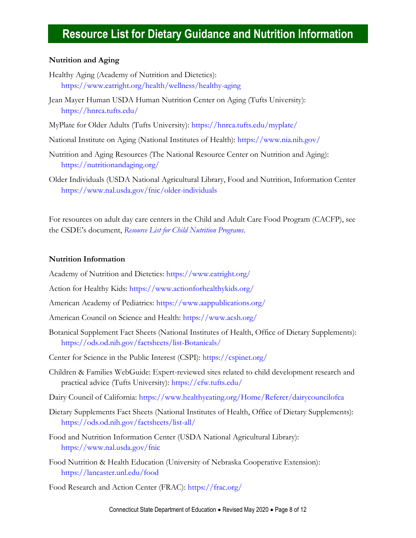### **Nutrition and Aging**

- Healthy Aging (Academy of Nutrition and Dietetics): <https://www.eatright.org/health/wellness/healthy-aging>
- Jean Mayer Human USDA Human Nutrition Center on Aging (Tufts University): <https://hnrca.tufts.edu/>
- MyPlate for Older Adults (Tufts University):<https://hnrca.tufts.edu/myplate/>
- National Institute on Aging (National Institutes of Health):<https://www.nia.nih.gov/>
- Nutrition and Aging Resources (The National Resource Center on Nutrition and Aging): <https://nutritionandaging.org/>
- Older Individuals (USDA National Agricultural Library, Food and Nutrition, Information Center <https://www.nal.usda.gov/fnic/older-individuals>

For resources on adult day care centers in the Child and Adult Care Food Program (CACFP), see the CSDE's document, *Resource [List for Child Nutrition Programs](https://portal.ct.gov/-/media/SDE/Nutrition/Resources/ResourcesChildNutritionPrograms.pdf)*.

### **Nutrition Information**

Academy of Nutrition and Dietetics: <https://www.eatright.org/>

- Action for Healthy Kids: <https://www.actionforhealthykids.org/>
- American Academy of Pediatrics:<https://www.aappublications.org/>
- American Council on Science and Health:<https://www.acsh.org/>
- Botanical Supplement Fact Sheets (National Institutes of Health, Office of Dietary Supplements): <https://ods.od.nih.gov/factsheets/list-Botanicals/>
- Center for Science in the Public Interest (CSPI): <https://cspinet.org/>
- Children & Families WebGuide: Expert-reviewed sites related to child development research and practical advice (Tufts University):<https://cfw.tufts.edu/>
- Dairy Council of California:<https://www.healthyeating.org/Home/Referer/dairycouncilofca>
- Dietary Supplements Fact Sheets (National Institutes of Health, Office of Dietary Supplements): <https://ods.od.nih.gov/factsheets/list-all/>
- Food and Nutrition Information Center (USDA National Agricultural Library): <https://www.nal.usda.gov/fnic>
- Food Nutrition & Health Education (University of Nebraska Cooperative Extension): <https://lancaster.unl.edu/food>

Food Research and Action Center (FRAC):<https://frac.org/>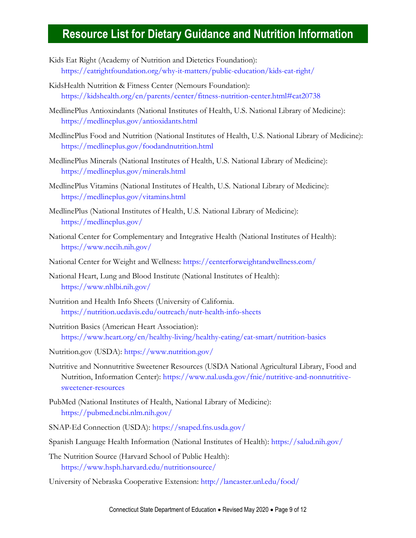- Kids Eat Right (Academy of Nutrition and Dietetics Foundation): <https://eatrightfoundation.org/why-it-matters/public-education/kids-eat-right/>
- KidsHealth Nutrition & Fitness Center (Nemours Foundation): <https://kidshealth.org/en/parents/center/fitness-nutrition-center.html#cat20738>
- MedlinePlus Antioxindants (National Institutes of Health, U.S. National Library of Medicine): <https://medlineplus.gov/antioxidants.html>
- MedlinePlus Food and Nutrition (National Institutes of Health, U.S. National Library of Medicine): <https://medlineplus.gov/foodandnutrition.html>
- MedlinePlus Minerals (National Institutes of Health, U.S. National Library of Medicine): <https://medlineplus.gov/minerals.html>
- MedlinePlus Vitamins (National Institutes of Health, U.S. National Library of Medicine): <https://medlineplus.gov/vitamins.html>
- MedlinePlus (National Institutes of Health, U.S. National Library of Medicine): <https://medlineplus.gov/>
- National Center for Complementary and Integrative Health (National Institutes of Health): <https://www.nccih.nih.gov/>
- National Center for Weight and Wellness:<https://centerforweightandwellness.com/>
- National Heart, Lung and Blood Institute (National Institutes of Health): <https://www.nhlbi.nih.gov/>
- Nutrition and Health Info Sheets (University of California. <https://nutrition.ucdavis.edu/outreach/nutr-health-info-sheets>
- Nutrition Basics (American Heart Association): <https://www.heart.org/en/healthy-living/healthy-eating/eat-smart/nutrition-basics>
- Nutrition.gov (USDA): <https://www.nutrition.gov/>
- Nutritive and Nonnutritive Sweetener Resources (USDA National Agricultural Library, Food and Nutrition, Information Center): [https://www.nal.usda.gov/fnic/nutritive-and-nonnutritive](https://www.nal.usda.gov/fnic/nutritive-and-nonnutritive-sweetener-resources)[sweetener-resources](https://www.nal.usda.gov/fnic/nutritive-and-nonnutritive-sweetener-resources)
- PubMed (National Institutes of Health, National Library of Medicine): <https://pubmed.ncbi.nlm.nih.gov/>
- SNAP-Ed Connection (USDA):<https://snaped.fns.usda.gov/>
- Spanish Language Health Information (National Institutes of Health):<https://salud.nih.gov/>
- The Nutrition Source (Harvard School of Public Health): <https://www.hsph.harvard.edu/nutritionsource/>
- University of Nebraska Cooperative Extension:<http://lancaster.unl.edu/food/>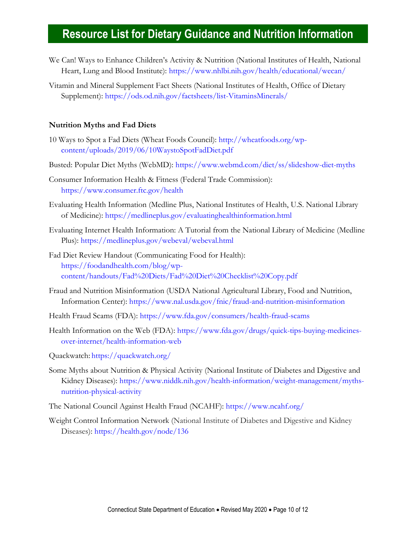- We Can! Ways to Enhance Children's Activity & Nutrition (National Institutes of Health, National Heart, Lung and Blood Institute):<https://www.nhlbi.nih.gov/health/educational/wecan/>
- Vitamin and Mineral Supplement Fact Sheets (National Institutes of Health, Office of Dietary Supplement):<https://ods.od.nih.gov/factsheets/list-VitaminsMinerals/>

### <span id="page-9-0"></span>**Nutrition Myths and Fad Diets**

- 10 Ways to Spot a Fad Diets (Wheat Foods Council): [http://wheatfoods.org/wp](http://wheatfoods.org/wp-content/uploads/2019/06/10WaystoSpotFadDiet.pdf)[content/uploads/2019/06/10WaystoSpotFadDiet.pdf](http://wheatfoods.org/wp-content/uploads/2019/06/10WaystoSpotFadDiet.pdf)
- Busted: Popular Diet Myths (WebMD):<https://www.webmd.com/diet/ss/slideshow-diet-myths>
- Consumer Information Health & Fitness (Federal Trade Commission): <https://www.consumer.ftc.gov/health>
- Evaluating Health Information (Medline Plus, National Institutes of Health, U.S. National Library of Medicine):<https://medlineplus.gov/evaluatinghealthinformation.html>
- Evaluating Internet Health Information: A Tutorial from the National Library of Medicine (Medline Plus):<https://medlineplus.gov/webeval/webeval.html>
- Fad Diet Review Handout (Communicating Food for Health): [https://foodandhealth.com/blog/wp](https://foodandhealth.com/blog/wp-content/handouts/Fad%20Diets/Fad%20Diet%20Checklist%20Copy.pdf)[content/handouts/Fad%20Diets/Fad%20Diet%20Checklist%20Copy.pdf](https://foodandhealth.com/blog/wp-content/handouts/Fad%20Diets/Fad%20Diet%20Checklist%20Copy.pdf)
- Fraud and Nutrition Misinformation (USDA National Agricultural Library, Food and Nutrition, Information Center):<https://www.nal.usda.gov/fnic/fraud-and-nutrition-misinformation>
- Health Fraud Scams (FDA):<https://www.fda.gov/consumers/health-fraud-scams>
- Health Information on the Web (FDA): [https://www.fda.gov/drugs/quick-tips-buying-medicines](https://www.fda.gov/drugs/quick-tips-buying-medicines-over-internet/health-information-web)[over-internet/health-information-web](https://www.fda.gov/drugs/quick-tips-buying-medicines-over-internet/health-information-web)
- Quackwatch: <https://quackwatch.org/>
- Some Myths about Nutrition & Physical Activity (National Institute of Diabetes and Digestive and Kidney Diseases): [https://www.niddk.nih.gov/health-information/weight-management/myths](https://www.niddk.nih.gov/health-information/weight-management/myths-nutrition-physical-activity)[nutrition-physical-activity](https://www.niddk.nih.gov/health-information/weight-management/myths-nutrition-physical-activity)
- The National Council Against Health Fraud (NCAHF):<https://www.ncahf.org/>
- <span id="page-9-1"></span>Weight Control Information Network (National Institute of Diabetes and Digestive and Kidney Diseases): <https://health.gov/node/136>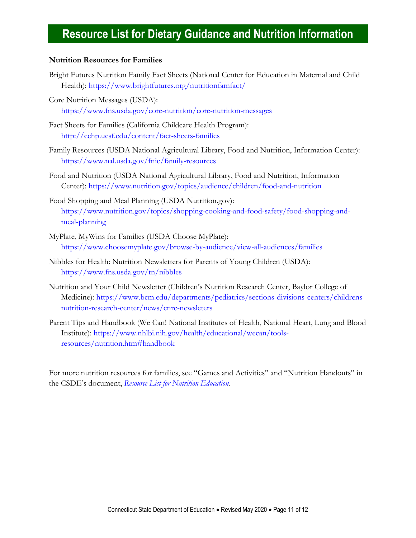### **Nutrition Resources for Families**

- Bright Futures Nutrition Family Fact Sheets (National Center for Education in Maternal and Child Health):<https://www.brightfutures.org/nutritionfamfact/>
- Core Nutrition Messages (USDA): <https://www.fns.usda.gov/core-nutrition/core-nutrition-messages>
- Fact Sheets for Families (California Childcare Health Program): <http://cchp.ucsf.edu/content/fact-sheets-families>
- Family Resources (USDA National Agricultural Library, Food and Nutrition, Information Center): <https://www.nal.usda.gov/fnic/family-resources>
- Food and Nutrition (USDA National Agricultural Library, Food and Nutrition, Information Center):<https://www.nutrition.gov/topics/audience/children/food-and-nutrition>
- Food Shopping and Meal Planning (USDA Nutrition.gov): [https://www.nutrition.gov/topics/shopping-cooking-and-food-safety/food-shopping-and](https://www.nutrition.gov/topics/shopping-cooking-and-food-safety/food-shopping-and-meal-planning)[meal-planning](https://www.nutrition.gov/topics/shopping-cooking-and-food-safety/food-shopping-and-meal-planning)
- MyPlate, MyWins for Families (USDA Choose MyPlate): <https://www.choosemyplate.gov/browse-by-audience/view-all-audiences/families>
- Nibbles for Health: Nutrition Newsletters for Parents of Young Children (USDA): <https://www.fns.usda.gov/tn/nibbles>
- Nutrition and Your Child Newsletter (Children's Nutrition Research Center, Baylor College of Medicine): [https://www.bcm.edu/departments/pediatrics/sections-divisions-centers/childrens](https://www.bcm.edu/departments/pediatrics/sections-divisions-centers/childrens-nutrition-research-center/news/cnrc-newsleters)[nutrition-research-center/news/cnrc-newsleters](https://www.bcm.edu/departments/pediatrics/sections-divisions-centers/childrens-nutrition-research-center/news/cnrc-newsleters)
- Parent Tips and Handbook (We Can! National Institutes of Health, National Heart, Lung and Blood Institute): [https://www.nhlbi.nih.gov/health/educational/wecan/tools](https://www.nhlbi.nih.gov/health/educational/wecan/tools-resources/nutrition.htm#handbook)[resources/nutrition.htm#handbook](https://www.nhlbi.nih.gov/health/educational/wecan/tools-resources/nutrition.htm#handbook)

For more nutrition resources for families, see "Games and Activities" and "Nutrition Handouts" in the CSDE's document, *[Resource List for Nutrition Education](https://portal.ct.gov/-/media/SDE/Nutrition/Resources/ResourcesNutritionEducation.pdf)*.